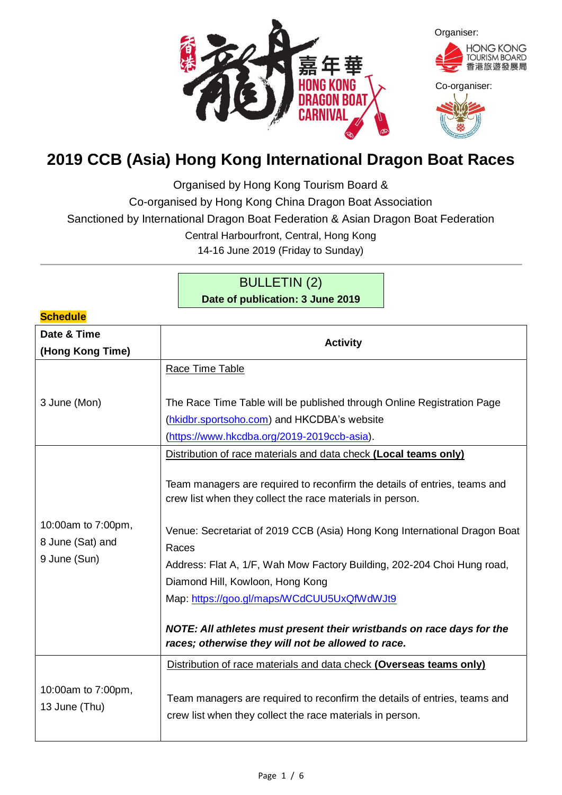

# **2019 CCB (Asia) Hong Kong International Dragon Boat Races**

Organised by Hong Kong Tourism Board &

Co-organised by Hong Kong China Dragon Boat Association

Sanctioned by International Dragon Boat Federation & Asian Dragon Boat Federation

Central Harbourfront, Central, Hong Kong

14-16 June 2019 (Friday to Sunday)

## BULLETIN (2) **Date of publication: 3 June 2019**

**Schedule**

| <u>ouieuule</u>                                        |                                                                                                                                                                                                                                                                                                                                                                                                                                                                                                                          |  |  |
|--------------------------------------------------------|--------------------------------------------------------------------------------------------------------------------------------------------------------------------------------------------------------------------------------------------------------------------------------------------------------------------------------------------------------------------------------------------------------------------------------------------------------------------------------------------------------------------------|--|--|
| Date & Time<br>(Hong Kong Time)                        | <b>Activity</b>                                                                                                                                                                                                                                                                                                                                                                                                                                                                                                          |  |  |
|                                                        | Race Time Table                                                                                                                                                                                                                                                                                                                                                                                                                                                                                                          |  |  |
| 3 June (Mon)                                           | The Race Time Table will be published through Online Registration Page                                                                                                                                                                                                                                                                                                                                                                                                                                                   |  |  |
|                                                        | (hkidbr.sportsoho.com) and HKCDBA's website                                                                                                                                                                                                                                                                                                                                                                                                                                                                              |  |  |
|                                                        | (https://www.hkcdba.org/2019-2019ccb-asia).                                                                                                                                                                                                                                                                                                                                                                                                                                                                              |  |  |
|                                                        | Distribution of race materials and data check (Local teams only)                                                                                                                                                                                                                                                                                                                                                                                                                                                         |  |  |
| 10:00am to 7:00pm,<br>8 June (Sat) and<br>9 June (Sun) | Team managers are required to reconfirm the details of entries, teams and<br>crew list when they collect the race materials in person.<br>Venue: Secretariat of 2019 CCB (Asia) Hong Kong International Dragon Boat<br>Races<br>Address: Flat A, 1/F, Wah Mow Factory Building, 202-204 Choi Hung road,<br>Diamond Hill, Kowloon, Hong Kong<br>Map: https://goo.gl/maps/WCdCUU5UxQfWdWJt9<br>NOTE: All athletes must present their wristbands on race days for the<br>races; otherwise they will not be allowed to race. |  |  |
| 10:00am to 7:00pm,<br>13 June (Thu)                    | Distribution of race materials and data check (Overseas teams only)<br>Team managers are required to reconfirm the details of entries, teams and<br>crew list when they collect the race materials in person.                                                                                                                                                                                                                                                                                                            |  |  |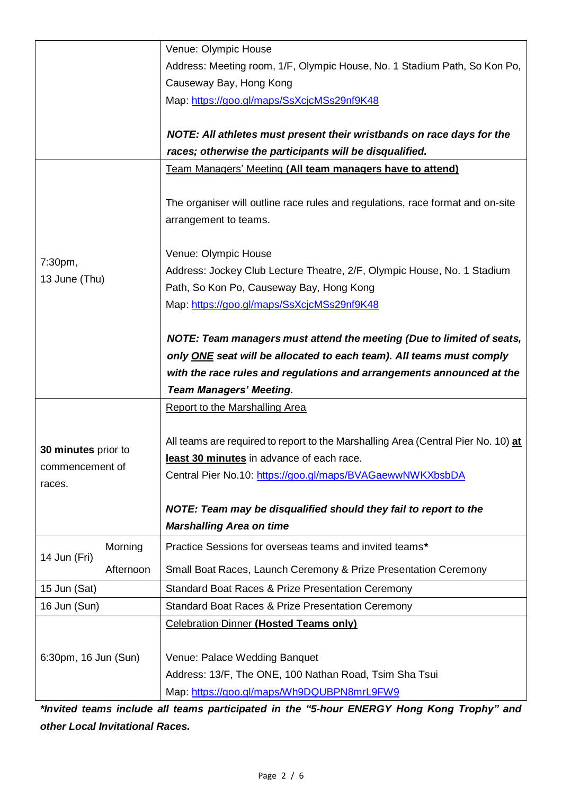|                           | Venue: Olympic House                                                                                                |
|---------------------------|---------------------------------------------------------------------------------------------------------------------|
|                           | Address: Meeting room, 1/F, Olympic House, No. 1 Stadium Path, So Kon Po,                                           |
|                           | Causeway Bay, Hong Kong                                                                                             |
|                           | Map: https://goo.gl/maps/SsXcjcMSs29nf9K48                                                                          |
|                           |                                                                                                                     |
|                           | NOTE: All athletes must present their wristbands on race days for the                                               |
|                           | races; otherwise the participants will be disqualified.                                                             |
|                           | Team Managers' Meeting (All team managers have to attend)                                                           |
|                           |                                                                                                                     |
|                           | The organiser will outline race rules and regulations, race format and on-site                                      |
|                           | arrangement to teams.                                                                                               |
|                           |                                                                                                                     |
| 7:30pm,                   | Venue: Olympic House                                                                                                |
| 13 June (Thu)             | Address: Jockey Club Lecture Theatre, 2/F, Olympic House, No. 1 Stadium<br>Path, So Kon Po, Causeway Bay, Hong Kong |
|                           | Map: https://goo.gl/maps/SsXcjcMSs29nf9K48                                                                          |
|                           |                                                                                                                     |
|                           | NOTE: Team managers must attend the meeting (Due to limited of seats,                                               |
|                           | only ONE seat will be allocated to each team). All teams must comply                                                |
|                           | with the race rules and regulations and arrangements announced at the                                               |
|                           | <b>Team Managers' Meeting.</b>                                                                                      |
|                           | <b>Report to the Marshalling Area</b>                                                                               |
|                           |                                                                                                                     |
|                           | All teams are required to report to the Marshalling Area (Central Pier No. 10) at                                   |
| 30 minutes prior to       | least 30 minutes in advance of each race.                                                                           |
| commencement of           | Central Pier No.10: https://goo.gl/maps/BVAGaewwNWKXbsbDA                                                           |
| races.                    |                                                                                                                     |
|                           | NOTE: Team may be disqualified should they fail to report to the                                                    |
|                           | <b>Marshalling Area on time</b>                                                                                     |
| Morning                   | Practice Sessions for overseas teams and invited teams*                                                             |
| 14 Jun (Fri)<br>Afternoon | Small Boat Races, Launch Ceremony & Prize Presentation Ceremony                                                     |
| 15 Jun (Sat)              | <b>Standard Boat Races &amp; Prize Presentation Ceremony</b>                                                        |
| 16 Jun (Sun)              | Standard Boat Races & Prize Presentation Ceremony                                                                   |
|                           | <b>Celebration Dinner (Hosted Teams only)</b>                                                                       |
|                           |                                                                                                                     |
| 6:30pm, 16 Jun (Sun)      | Venue: Palace Wedding Banquet                                                                                       |
|                           | Address: 13/F, The ONE, 100 Nathan Road, Tsim Sha Tsui                                                              |
|                           | Map: https://goo.gl/maps/Wh9DQUBPN8mrL9FW9                                                                          |

*\*Invited teams include all teams participated in the "5-hour ENERGY Hong Kong Trophy" and other Local Invitational Races.*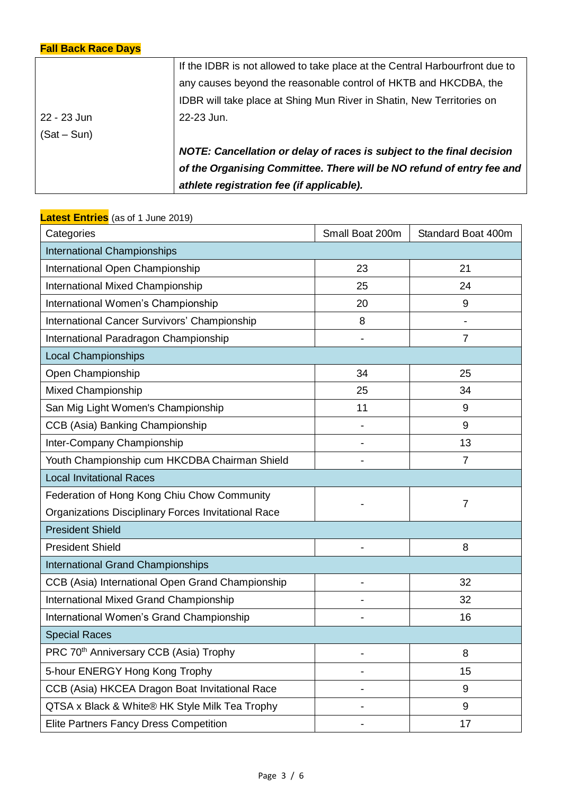## **Fall Back Race Days**

|             | of the Organising Committee. There will be NO refund of entry fee and<br>athlete registration fee (if applicable). |
|-------------|--------------------------------------------------------------------------------------------------------------------|
| $(Sat-Sun)$ | NOTE: Cancellation or delay of races is subject to the final decision                                              |
|             |                                                                                                                    |
| 22 - 23 Jun | 22-23 Jun.                                                                                                         |
|             | IDBR will take place at Shing Mun River in Shatin, New Territories on                                              |
|             | any causes beyond the reasonable control of HKTB and HKCDBA, the                                                   |
|             | If the IDBR is not allowed to take place at the Central Harbourfront due to                                        |

| Categories                                          | Small Boat 200m | Standard Boat 400m |  |
|-----------------------------------------------------|-----------------|--------------------|--|
| <b>International Championships</b>                  |                 |                    |  |
| International Open Championship                     | 23              | 21                 |  |
| <b>International Mixed Championship</b>             | 25              | 24                 |  |
| International Women's Championship                  | 20              | 9                  |  |
| International Cancer Survivors' Championship        | 8               |                    |  |
| International Paradragon Championship               |                 | $\overline{7}$     |  |
| <b>Local Championships</b>                          |                 |                    |  |
| Open Championship                                   | 34              | 25                 |  |
| <b>Mixed Championship</b>                           | 25              | 34                 |  |
| San Mig Light Women's Championship                  | 11              | 9                  |  |
| CCB (Asia) Banking Championship                     |                 | 9                  |  |
| Inter-Company Championship                          |                 | 13                 |  |
| Youth Championship cum HKCDBA Chairman Shield       |                 | $\overline{7}$     |  |
| <b>Local Invitational Races</b>                     |                 |                    |  |
| Federation of Hong Kong Chiu Chow Community         | $\overline{7}$  |                    |  |
| Organizations Disciplinary Forces Invitational Race |                 |                    |  |
| <b>President Shield</b>                             |                 |                    |  |
| <b>President Shield</b>                             |                 | 8                  |  |
| <b>International Grand Championships</b>            |                 |                    |  |
| CCB (Asia) International Open Grand Championship    |                 | 32                 |  |
| <b>International Mixed Grand Championship</b>       |                 | 32                 |  |
| International Women's Grand Championship            |                 | 16                 |  |
| <b>Special Races</b>                                |                 |                    |  |
| PRC 70 <sup>th</sup> Anniversary CCB (Asia) Trophy  |                 | 8                  |  |
| 5-hour ENERGY Hong Kong Trophy                      |                 | 15                 |  |
| CCB (Asia) HKCEA Dragon Boat Invitational Race      |                 | 9                  |  |
| QTSA x Black & White® HK Style Milk Tea Trophy      |                 | 9                  |  |
| Elite Partners Fancy Dress Competition              |                 | 17                 |  |

## **Latest Entries** (as of 1 June 2019)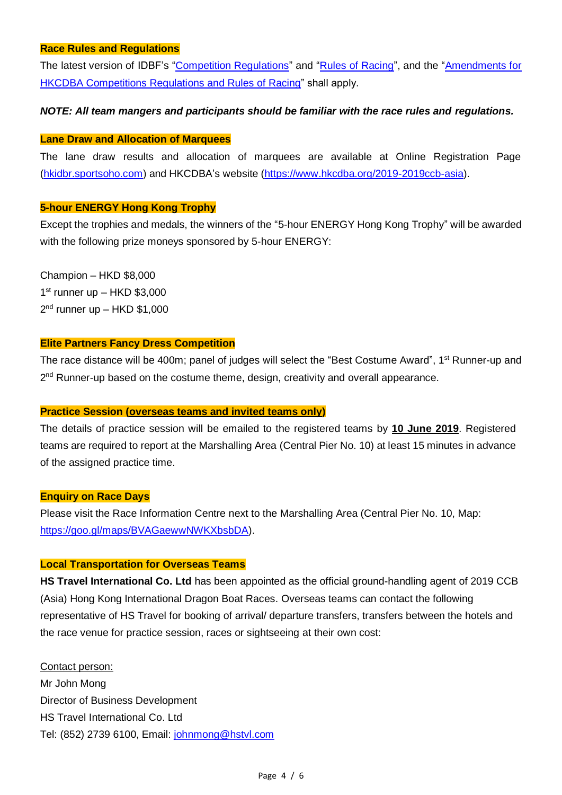#### **Race Rules and Regulations**

The latest version of IDBF's ["Competition Regulations"](https://docs.wixstatic.com/ugd/81bcd4_f8552ae9b93f445685e3ca4e9053f612.pdf) and ["Rules of Racing"](https://docs.wixstatic.com/ugd/81bcd4_d08018a96efd4462a068f5771106213b.pdf), and the ["Amendments for](https://docs.wixstatic.com/ugd/f648d8_dfc9787cde2940f78ff537c8508d7b60.pdf)  [HKCDBA Competitions Regulations and Rules of Racing"](https://docs.wixstatic.com/ugd/f648d8_dfc9787cde2940f78ff537c8508d7b60.pdf) shall apply.

#### *NOTE: All team mangers and participants should be familiar with the race rules and regulations.*

#### **Lane Draw and Allocation of Marquees**

The lane draw results and allocation of marquees are available at Online Registration Page [\(hkidbr.sportsoho.com\)](https://hkidbr.sportsoho.com/) and HKCDBA's website [\(https://www.hkcdba.org/2019-2019ccb-asia\)](https://www.hkcdba.org/2019-2019ccb-asia).

#### **5-hour ENERGY Hong Kong Trophy**

Except the trophies and medals, the winners of the "5-hour ENERGY Hong Kong Trophy" will be awarded with the following prize moneys sponsored by 5-hour ENERGY:

Champion – HKD \$8,000 1 st runner up – HKD \$3,000 2<sup>nd</sup> runner up – HKD \$1,000

#### **Elite Partners Fancy Dress Competition**

The race distance will be 400m; panel of judges will select the "Best Costume Award", 1<sup>st</sup> Runner-up and 2<sup>nd</sup> Runner-up based on the costume theme, design, creativity and overall appearance.

#### **Practice Session (overseas teams and invited teams only)**

The details of practice session will be emailed to the registered teams by **10 June 2019**. Registered teams are required to report at the Marshalling Area (Central Pier No. 10) at least 15 minutes in advance of the assigned practice time.

#### **Enquiry on Race Days**

Please visit the Race Information Centre next to the Marshalling Area (Central Pier No. 10, Map: [https://goo.gl/maps/BVAGaewwNWKXbsbDA\)](https://goo.gl/maps/BVAGaewwNWKXbsbDA).

#### **Local Transportation for Overseas Teams**

**HS Travel International Co. Ltd** has been appointed as the official ground-handling agent of 2019 CCB (Asia) Hong Kong International Dragon Boat Races. Overseas teams can contact the following representative of HS Travel for booking of arrival/ departure transfers, transfers between the hotels and the race venue for practice session, races or sightseeing at their own cost:

Contact person: Mr John Mong Director of Business Development HS Travel International Co. Ltd Tel: (852) 2739 6100, Email: [johnmong@hstvl.com](mailto:johnmong@hstvl.com)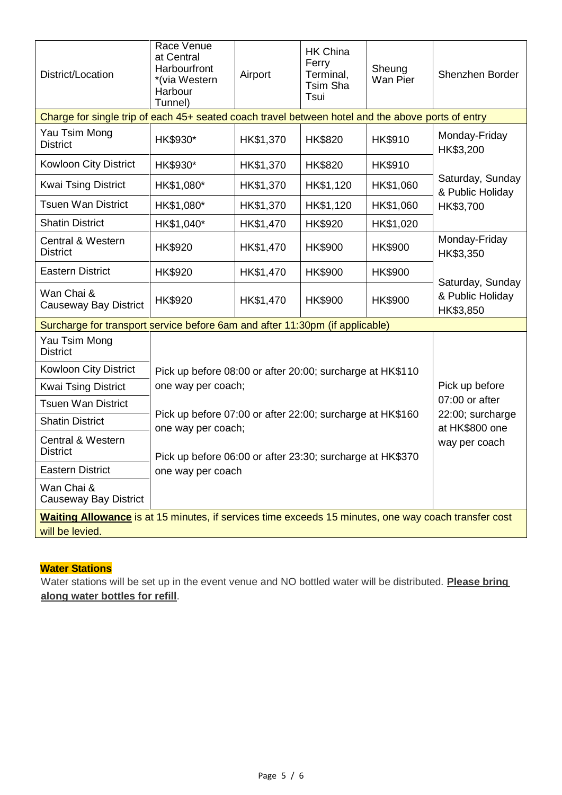| District/Location                                                                                                       | Race Venue<br>at Central<br>Harbourfront<br>*(via Western<br>Harbour<br>Tunnel)                                                                                                                                                                               | Airport                                                   | <b>HK China</b><br>Ferry<br>Terminal,<br>Tsim Sha<br>Tsui | Sheung<br>Wan Pier | Shenzhen Border                                                                 |
|-------------------------------------------------------------------------------------------------------------------------|---------------------------------------------------------------------------------------------------------------------------------------------------------------------------------------------------------------------------------------------------------------|-----------------------------------------------------------|-----------------------------------------------------------|--------------------|---------------------------------------------------------------------------------|
| Charge for single trip of each 45+ seated coach travel between hotel and the above ports of entry                       |                                                                                                                                                                                                                                                               |                                                           |                                                           |                    |                                                                                 |
| Yau Tsim Mong<br><b>District</b>                                                                                        | HK\$930*                                                                                                                                                                                                                                                      | HK\$1,370                                                 | HK\$820                                                   | <b>HK\$910</b>     | Monday-Friday<br>HK\$3,200<br>Saturday, Sunday<br>& Public Holiday<br>HK\$3,700 |
| <b>Kowloon City District</b>                                                                                            | HK\$930*                                                                                                                                                                                                                                                      | HK\$1,370                                                 | HK\$820                                                   | <b>HK\$910</b>     |                                                                                 |
| <b>Kwai Tsing District</b>                                                                                              | HK\$1,080*                                                                                                                                                                                                                                                    | HK\$1,370                                                 | HK\$1,120                                                 | HK\$1,060          |                                                                                 |
| <b>Tsuen Wan District</b>                                                                                               | HK\$1,080*                                                                                                                                                                                                                                                    | HK\$1,370                                                 | HK\$1,120                                                 | HK\$1,060          |                                                                                 |
| <b>Shatin District</b>                                                                                                  | HK\$1,040*                                                                                                                                                                                                                                                    | HK\$1,470                                                 | HK\$920                                                   | HK\$1,020          |                                                                                 |
| <b>Central &amp; Western</b><br><b>District</b>                                                                         | HK\$920                                                                                                                                                                                                                                                       | HK\$1,470                                                 | HK\$900                                                   | HK\$900            | Monday-Friday<br>HK\$3,350                                                      |
| <b>Eastern District</b>                                                                                                 | HK\$920                                                                                                                                                                                                                                                       | HK\$1,470                                                 | HK\$900                                                   | <b>HK\$900</b>     |                                                                                 |
| Wan Chai &<br><b>Causeway Bay District</b>                                                                              | HK\$920                                                                                                                                                                                                                                                       | HK\$1,470                                                 | <b>HK\$900</b>                                            | <b>HK\$900</b>     | Saturday, Sunday<br>& Public Holiday<br>HK\$3,850                               |
| Surcharge for transport service before 6am and after 11:30pm (if applicable)                                            |                                                                                                                                                                                                                                                               |                                                           |                                                           |                    |                                                                                 |
| Yau Tsim Mong<br><b>District</b>                                                                                        |                                                                                                                                                                                                                                                               |                                                           |                                                           |                    |                                                                                 |
| Kowloon City District                                                                                                   |                                                                                                                                                                                                                                                               | Pick up before 08:00 or after 20:00; surcharge at HK\$110 |                                                           |                    |                                                                                 |
| <b>Kwai Tsing District</b>                                                                                              | Pick up before<br>one way per coach;<br>07:00 or after<br>Pick up before 07:00 or after 22:00; surcharge at HK\$160<br>22:00; surcharge<br>at HK\$800 one<br>one way per coach;<br>way per coach<br>Pick up before 06:00 or after 23:30; surcharge at HK\$370 |                                                           |                                                           |                    |                                                                                 |
| <b>Tsuen Wan District</b>                                                                                               |                                                                                                                                                                                                                                                               |                                                           |                                                           |                    |                                                                                 |
| <b>Shatin District</b>                                                                                                  |                                                                                                                                                                                                                                                               |                                                           |                                                           |                    |                                                                                 |
| <b>Central &amp; Western</b><br><b>District</b>                                                                         |                                                                                                                                                                                                                                                               |                                                           |                                                           |                    |                                                                                 |
| <b>Eastern District</b>                                                                                                 | one way per coach                                                                                                                                                                                                                                             |                                                           |                                                           |                    |                                                                                 |
| Wan Chai &<br>Causeway Bay District                                                                                     |                                                                                                                                                                                                                                                               |                                                           |                                                           |                    |                                                                                 |
| Waiting Allowance is at 15 minutes, if services time exceeds 15 minutes, one way coach transfer cost<br>will be levied. |                                                                                                                                                                                                                                                               |                                                           |                                                           |                    |                                                                                 |

## **Water Stations**

Water stations will be set up in the event venue and NO bottled water will be distributed. **Please bring along water bottles for refill**.